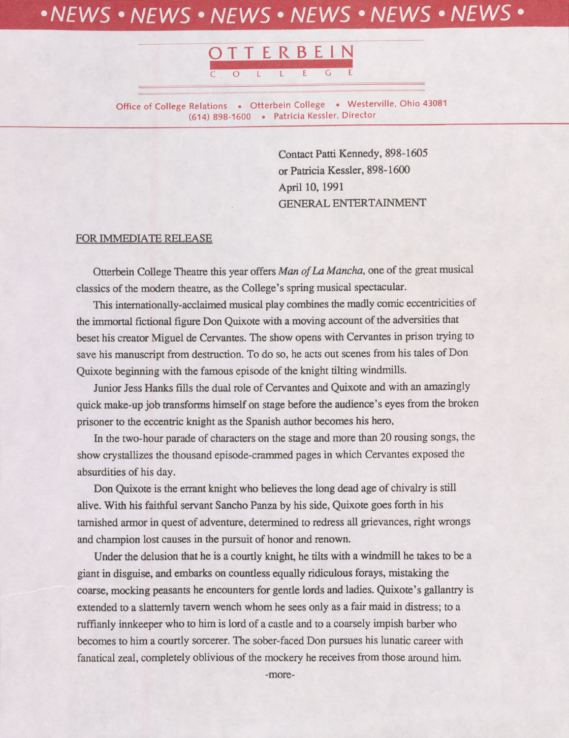## *•NEWS • NEWS • NEWS • NEWS • NEWS* **•** *NEWS •*



**Office of College Relations . Otterbein College . Westerville, Ohio 43081 (614) 898-1600 • Patricia Kessler, Director**

> Contact Patti Kennedy, 898-1605 or Patricia Kessler, 898-1600 April 10,1991 GENERAL ENTERTAINMENT

## FOR IMMEDIATE RELEASE

Otterbein College Theatre this year offers *Man ofLa Mancha,* one of the great musical classics of the modern theatre, as the College's spring musical spectacular.

This intemationaUy-acclaimed musical play combines the madly comic eccentricities of the immortal fictional figure Don Quixote with a moving account of the adversities that beset his creator Miguel de Cervantes. The show opens with Cervantes in prison trying to save his manuscript from destruction. To do so, he acts out scenes from his tales of Don Quixote beginning with the famous episode of the knight tilting windmills.

Junior Jess Hanks fills the dual role of Cervantes and Quixote and with an amazingly quick make-up job transforms himself on stage before the audience's eyes from the broken prisoner to the eccentric knight as the Spanish author becomes his hero.

In the two-hour parade of characters on the stage and more than 20 rousing songs, the show crystallizes the thousand episode-crammed pages in which Cervantes exposed the absurdities of his day.

Don Quixote is the errant knight who believes the long dead age of chivalry is still alive. With his faithful servant Sancho Panza by his side, Quixote goes forth in his tarnished armor in quest of adventure, determined to redress all grievances, right wrongs and champion lost causes in the pursuit of honor and renown.

Under the delusion that he is a courtly knight, he tilts with a windmill he takes to be a giant in disguise, and embarks on countless equally ridiculous forays, mistaking the coarse, mocking peasants he encounters for gentle lords and ladies. Quixote's gallantry is extended to a slatternly tavern wench whom he sees only as a fair maid in distress; to a ruffianly innkeeper who to him is lord of a castle and to a coarsely impish barber who becomes to him a courtly sorcerer. The sober-faced Don pursues his lunatic career with fanatical zeal, completely oblivious of the mockery he receives from those around him.